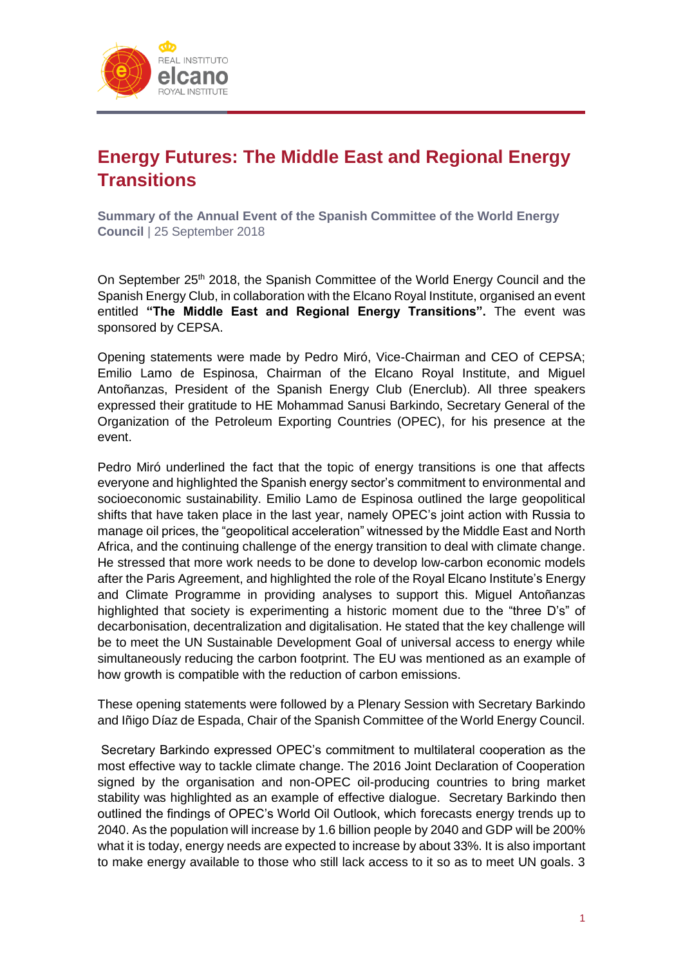

## **Energy Futures: The Middle East and Regional Energy Transitions**

**Summary of the Annual Event of the Spanish Committee of the World Energy Council** | 25 September 2018

On September 25<sup>th</sup> 2018, the Spanish Committee of the World Energy Council and the Spanish Energy Club, in collaboration with the Elcano Royal Institute, organised an event entitled **"The Middle East and Regional Energy Transitions".** The event was sponsored by CEPSA.

Opening statements were made by Pedro Miró, Vice-Chairman and CEO of CEPSA; Emilio Lamo de Espinosa, Chairman of the Elcano Royal Institute, and Miguel Antoñanzas, President of the Spanish Energy Club (Enerclub). All three speakers expressed their gratitude to HE Mohammad Sanusi Barkindo, Secretary General of the Organization of the Petroleum Exporting Countries (OPEC), for his presence at the event.

Pedro Miró underlined the fact that the topic of energy transitions is one that affects everyone and highlighted the Spanish energy sector's commitment to environmental and socioeconomic sustainability. Emilio Lamo de Espinosa outlined the large geopolitical shifts that have taken place in the last year, namely OPEC's joint action with Russia to manage oil prices, the "geopolitical acceleration" witnessed by the Middle East and North Africa, and the continuing challenge of the energy transition to deal with climate change. He stressed that more work needs to be done to develop low-carbon economic models after the Paris Agreement, and highlighted the role of the Royal Elcano Institute's Energy and Climate Programme in providing analyses to support this. Miguel Antoñanzas highlighted that society is experimenting a historic moment due to the "three D's" of decarbonisation, decentralization and digitalisation. He stated that the key challenge will be to meet the UN Sustainable Development Goal of universal access to energy while simultaneously reducing the carbon footprint. The EU was mentioned as an example of how growth is compatible with the reduction of carbon emissions.

These opening statements were followed by a Plenary Session with Secretary Barkindo and Iñigo Díaz de Espada, Chair of the Spanish Committee of the World Energy Council.

Secretary Barkindo expressed OPEC's commitment to multilateral cooperation as the most effective way to tackle climate change. The 2016 Joint Declaration of Cooperation signed by the organisation and non-OPEC oil-producing countries to bring market stability was highlighted as an example of effective dialogue. Secretary Barkindo then outlined the findings of OPEC's World Oil Outlook, which forecasts energy trends up to 2040. As the population will increase by 1.6 billion people by 2040 and GDP will be 200% what it is today, energy needs are expected to increase by about 33%. It is also important to make energy available to those who still lack access to it so as to meet UN goals. 3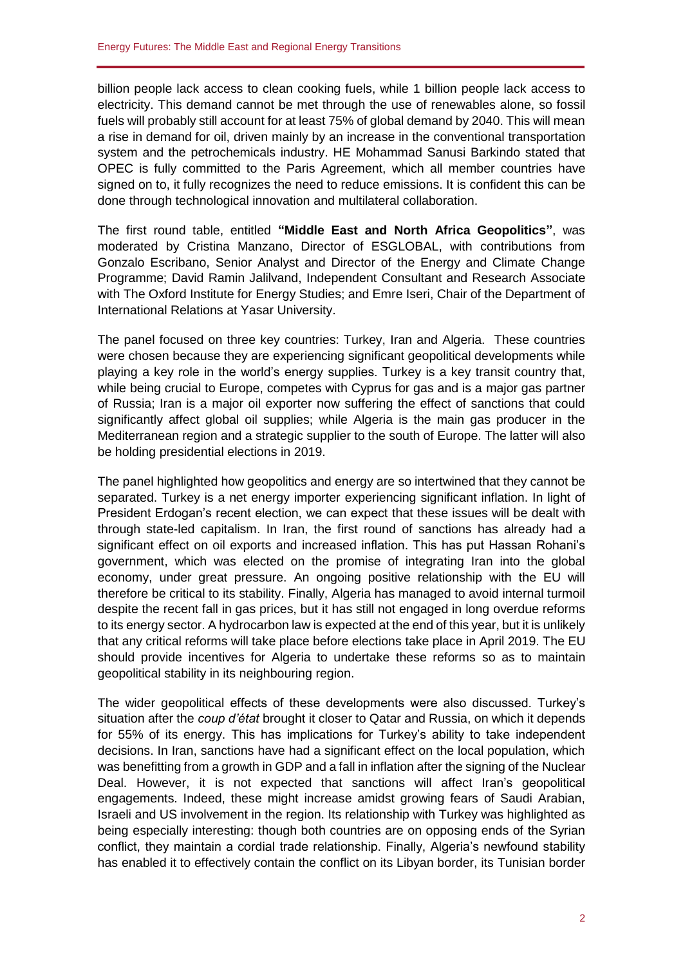billion people lack access to clean cooking fuels, while 1 billion people lack access to electricity. This demand cannot be met through the use of renewables alone, so fossil fuels will probably still account for at least 75% of global demand by 2040. This will mean a rise in demand for oil, driven mainly by an increase in the conventional transportation system and the petrochemicals industry. HE Mohammad Sanusi Barkindo stated that OPEC is fully committed to the Paris Agreement, which all member countries have signed on to, it fully recognizes the need to reduce emissions. It is confident this can be done through technological innovation and multilateral collaboration.

The first round table, entitled **"Middle East and North Africa Geopolitics"**, was moderated by Cristina Manzano, Director of ESGLOBAL, with contributions from Gonzalo Escribano, Senior Analyst and Director of the Energy and Climate Change Programme; David Ramin Jalilvand, Independent Consultant and Research Associate with The Oxford Institute for Energy Studies; and Emre Iseri, Chair of the Department of International Relations at Yasar University.

The panel focused on three key countries: Turkey, Iran and Algeria. These countries were chosen because they are experiencing significant geopolitical developments while playing a key role in the world's energy supplies. Turkey is a key transit country that, while being crucial to Europe, competes with Cyprus for gas and is a major gas partner of Russia; Iran is a major oil exporter now suffering the effect of sanctions that could significantly affect global oil supplies; while Algeria is the main gas producer in the Mediterranean region and a strategic supplier to the south of Europe. The latter will also be holding presidential elections in 2019.

The panel highlighted how geopolitics and energy are so intertwined that they cannot be separated. Turkey is a net energy importer experiencing significant inflation. In light of President Erdogan's recent election, we can expect that these issues will be dealt with through state-led capitalism. In Iran, the first round of sanctions has already had a significant effect on oil exports and increased inflation. This has put Hassan Rohani's government, which was elected on the promise of integrating Iran into the global economy, under great pressure. An ongoing positive relationship with the EU will therefore be critical to its stability. Finally, Algeria has managed to avoid internal turmoil despite the recent fall in gas prices, but it has still not engaged in long overdue reforms to its energy sector. A hydrocarbon law is expected at the end of this year, but it is unlikely that any critical reforms will take place before elections take place in April 2019. The EU should provide incentives for Algeria to undertake these reforms so as to maintain geopolitical stability in its neighbouring region.

The wider geopolitical effects of these developments were also discussed. Turkey's situation after the *coup d'état* brought it closer to Qatar and Russia, on which it depends for 55% of its energy. This has implications for Turkey's ability to take independent decisions. In Iran, sanctions have had a significant effect on the local population, which was benefitting from a growth in GDP and a fall in inflation after the signing of the Nuclear Deal. However, it is not expected that sanctions will affect Iran's geopolitical engagements. Indeed, these might increase amidst growing fears of Saudi Arabian, Israeli and US involvement in the region. Its relationship with Turkey was highlighted as being especially interesting: though both countries are on opposing ends of the Syrian conflict, they maintain a cordial trade relationship. Finally, Algeria's newfound stability has enabled it to effectively contain the conflict on its Libyan border, its Tunisian border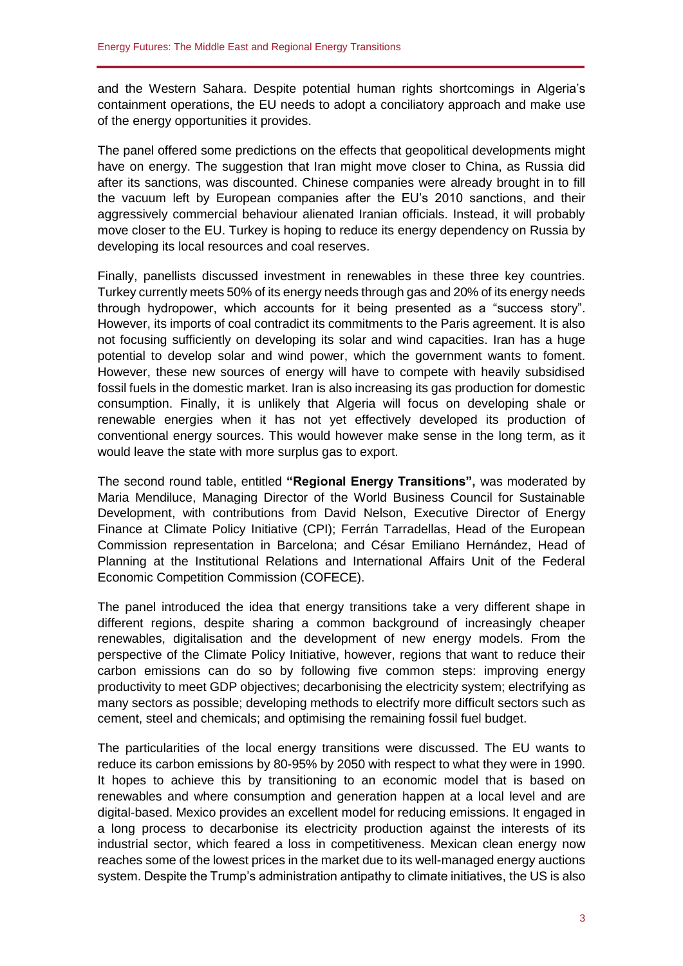and the Western Sahara. Despite potential human rights shortcomings in Algeria's containment operations, the EU needs to adopt a conciliatory approach and make use of the energy opportunities it provides.

The panel offered some predictions on the effects that geopolitical developments might have on energy. The suggestion that Iran might move closer to China, as Russia did after its sanctions, was discounted. Chinese companies were already brought in to fill the vacuum left by European companies after the EU's 2010 sanctions, and their aggressively commercial behaviour alienated Iranian officials. Instead, it will probably move closer to the EU. Turkey is hoping to reduce its energy dependency on Russia by developing its local resources and coal reserves.

Finally, panellists discussed investment in renewables in these three key countries. Turkey currently meets 50% of its energy needs through gas and 20% of its energy needs through hydropower, which accounts for it being presented as a "success story". However, its imports of coal contradict its commitments to the Paris agreement. It is also not focusing sufficiently on developing its solar and wind capacities. Iran has a huge potential to develop solar and wind power, which the government wants to foment. However, these new sources of energy will have to compete with heavily subsidised fossil fuels in the domestic market. Iran is also increasing its gas production for domestic consumption. Finally, it is unlikely that Algeria will focus on developing shale or renewable energies when it has not yet effectively developed its production of conventional energy sources. This would however make sense in the long term, as it would leave the state with more surplus gas to export.

The second round table, entitled **"Regional Energy Transitions",** was moderated by Maria Mendiluce, Managing Director of the World Business Council for Sustainable Development, with contributions from David Nelson, Executive Director of Energy Finance at Climate Policy Initiative (CPI); Ferrán Tarradellas, Head of the European Commission representation in Barcelona; and César Emiliano Hernández, Head of Planning at the Institutional Relations and International Affairs Unit of the Federal Economic Competition Commission (COFECE).

The panel introduced the idea that energy transitions take a very different shape in different regions, despite sharing a common background of increasingly cheaper renewables, digitalisation and the development of new energy models. From the perspective of the Climate Policy Initiative, however, regions that want to reduce their carbon emissions can do so by following five common steps: improving energy productivity to meet GDP objectives; decarbonising the electricity system; electrifying as many sectors as possible; developing methods to electrify more difficult sectors such as cement, steel and chemicals; and optimising the remaining fossil fuel budget.

The particularities of the local energy transitions were discussed. The EU wants to reduce its carbon emissions by 80-95% by 2050 with respect to what they were in 1990. It hopes to achieve this by transitioning to an economic model that is based on renewables and where consumption and generation happen at a local level and are digital-based. Mexico provides an excellent model for reducing emissions. It engaged in a long process to decarbonise its electricity production against the interests of its industrial sector, which feared a loss in competitiveness. Mexican clean energy now reaches some of the lowest prices in the market due to its well-managed energy auctions system. Despite the Trump's administration antipathy to climate initiatives, the US is also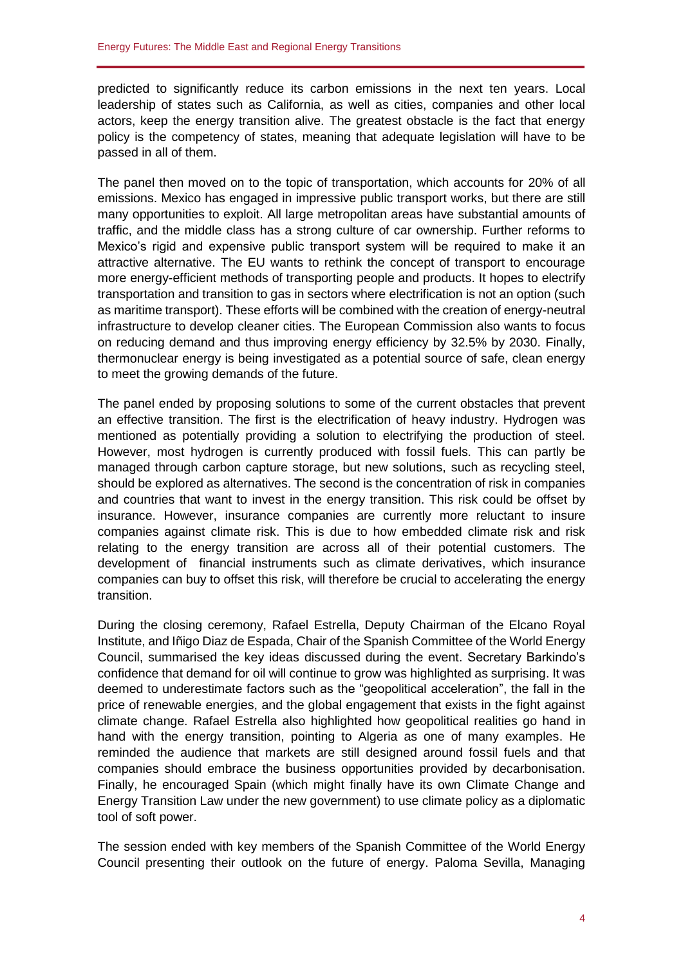predicted to significantly reduce its carbon emissions in the next ten years. Local leadership of states such as California, as well as cities, companies and other local actors, keep the energy transition alive. The greatest obstacle is the fact that energy policy is the competency of states, meaning that adequate legislation will have to be passed in all of them.

The panel then moved on to the topic of transportation, which accounts for 20% of all emissions. Mexico has engaged in impressive public transport works, but there are still many opportunities to exploit. All large metropolitan areas have substantial amounts of traffic, and the middle class has a strong culture of car ownership. Further reforms to Mexico's rigid and expensive public transport system will be required to make it an attractive alternative. The EU wants to rethink the concept of transport to encourage more energy-efficient methods of transporting people and products. It hopes to electrify transportation and transition to gas in sectors where electrification is not an option (such as maritime transport). These efforts will be combined with the creation of energy-neutral infrastructure to develop cleaner cities. The European Commission also wants to focus on reducing demand and thus improving energy efficiency by 32.5% by 2030. Finally, thermonuclear energy is being investigated as a potential source of safe, clean energy to meet the growing demands of the future.

The panel ended by proposing solutions to some of the current obstacles that prevent an effective transition. The first is the electrification of heavy industry. Hydrogen was mentioned as potentially providing a solution to electrifying the production of steel. However, most hydrogen is currently produced with fossil fuels. This can partly be managed through carbon capture storage, but new solutions, such as recycling steel, should be explored as alternatives. The second is the concentration of risk in companies and countries that want to invest in the energy transition. This risk could be offset by insurance. However, insurance companies are currently more reluctant to insure companies against climate risk. This is due to how embedded climate risk and risk relating to the energy transition are across all of their potential customers. The development of financial instruments such as climate derivatives, which insurance companies can buy to offset this risk, will therefore be crucial to accelerating the energy transition.

During the closing ceremony, Rafael Estrella, Deputy Chairman of the Elcano Royal Institute, and Iñigo Diaz de Espada, Chair of the Spanish Committee of the World Energy Council, summarised the key ideas discussed during the event. Secretary Barkindo's confidence that demand for oil will continue to grow was highlighted as surprising. It was deemed to underestimate factors such as the "geopolitical acceleration", the fall in the price of renewable energies, and the global engagement that exists in the fight against climate change. Rafael Estrella also highlighted how geopolitical realities go hand in hand with the energy transition, pointing to Algeria as one of many examples. He reminded the audience that markets are still designed around fossil fuels and that companies should embrace the business opportunities provided by decarbonisation. Finally, he encouraged Spain (which might finally have its own Climate Change and Energy Transition Law under the new government) to use climate policy as a diplomatic tool of soft power.

The session ended with key members of the Spanish Committee of the World Energy Council presenting their outlook on the future of energy. Paloma Sevilla, Managing